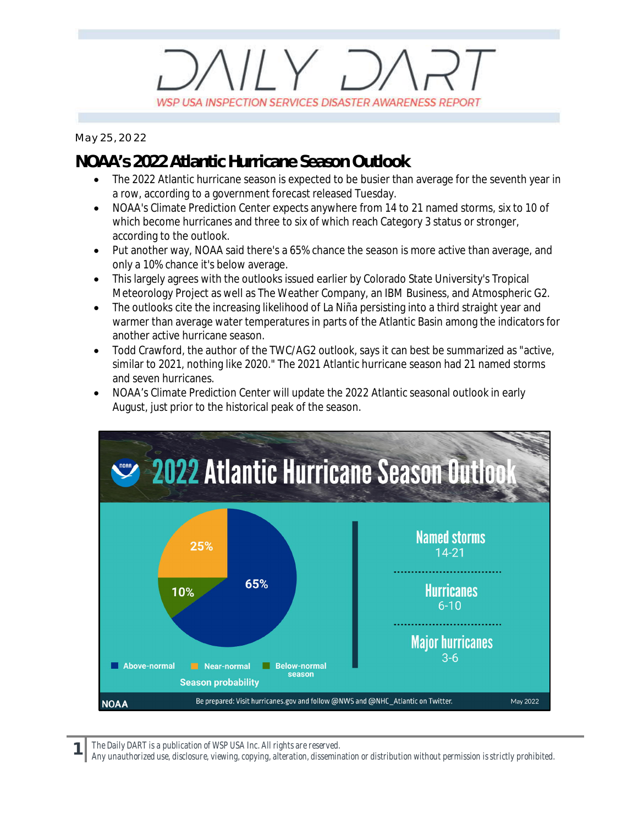## $\parallel$   $\vee$   $\Box$ WSP USA INSPECTION SERVICES DISASTER AWARENESS REPORT

*May 25, 2022*

## **NOAA's 2022 Atlantic Hurricane Season Outlook**

- The 2022 Atlantic hurricane season is expected to be busier than average for the seventh year in a row, according to a government forecast released Tuesday.
- · NOAA's Climate Prediction Center expects anywhere from 14 to 21 named storms, six to 10 of which become hurricanes and three to six of which reach Category 3 status or stronger, according to the outlook.
- · Put another way, NOAA said there's a 65% chance the season is more active than average, and only a 10% chance it's below average.
- · This largely agrees with the outlooks issued earlier by Colorado State University's Tropical Meteorology Project as well as The Weather Company, an IBM Business, and Atmospheric G2.
- The outlooks cite the increasing likelihood of La Niña persisting into a third straight year and warmer than average water temperatures in parts of the Atlantic Basin among the indicators for another active hurricane season.
- Todd Crawford, the author of the TWC/AG2 outlook, says it can best be summarized as "active, similar to 2021, nothing like 2020." The 2021 Atlantic hurricane season had 21 named storms and seven hurricanes.
- · NOAA's Climate Prediction Center will update the 2022 Atlantic seasonal outlook in early August, just prior to the historical peak of the season.



*The Daily DART is a publication of WSP USA Inc. All rights are reserved.*

**1**

*Any unauthorized use, disclosure, viewing, copying, alteration, dissemination or distribution without permission is strictly prohibited.*